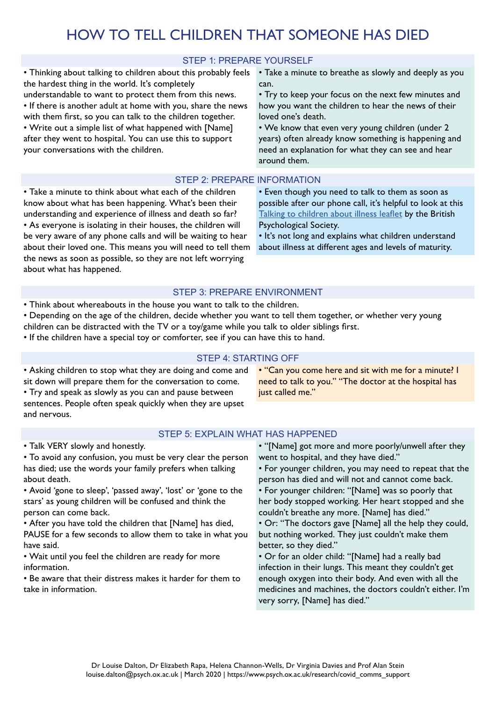# HOW TO TELL CHILDREN THAT SOMEONE HAS DIED

# STEP 1: PREPARE YOURSELF

• Thinking about talking to children about this probably feels the hardest thing in the world. It's completely understandable to want to protect them from this news. • If there is another adult at home with you, share the news with them first, so you can talk to the children together. • Write out a simple list of what happened with [Name] after they went to hospital. You can use this to support your conversations with the children.

• Take a minute to breathe as slowly and deeply as you can.

• Try to keep your focus on the next few minutes and how you want the children to hear the news of their loved one's death.

• We know that even very young children (under 2 years) often already know something is happening and need an explanation for what they can see and hear around them.

## STEP 2: PREPARE INFORMATION

• Take a minute to think about what each of the children know about what has been happening. What's been their understanding and experience of illness and death so far? • As everyone is isolating in their houses, the children will be very aware of any phone calls and will be waiting to hear about their loved one. This means you will need to tell them the news as soon as possible, so they are not left worrying about what has happened.

• Even though you need to talk to them as soon as possible after our phone call, it's helpful to look at this [Talking to children about illness leaflet](https://www.bps.org.uk/sites/www.bps.org.uk/files/Policy/Policy%20-%20Files/Talking%20to%20children%20about%20illness.pdf) by the British Psychological Society.

• It's not long and explains what children understand about illness at different ages and levels of maturity.

## STEP 3: PREPARE ENVIRONMENT

- Think about whereabouts in the house you want to talk to the children.
- Depending on the age of the children, decide whether you want to tell them together, or whether very young children can be distracted with the TV or a toy/game while you talk to older siblings first.
- If the children have a special toy or comforter, see if you can have this to hand.

### STEP 4: STARTING OFF

• Asking children to stop what they are doing and come and sit down will prepare them for the conversation to come. • Try and speak as slowly as you can and pause between sentences. People often speak quickly when they are upset and nervous.

• "Can you come here and sit with me for a minute? I need to talk to you." "The doctor at the hospital has just called me."

### STEP 5: EXPLAIN WHAT HAS HAPPENED

• Talk VERY slowly and honestly.

• To avoid any confusion, you must be very clear the person has died; use the words your family prefers when talking about death.

• Avoid 'gone to sleep', 'passed away', 'lost' or 'gone to the stars' as young children will be confused and think the person can come back.

• After you have told the children that [Name] has died, PAUSE for a few seconds to allow them to take in what you have said.

• Wait until you feel the children are ready for more information.

• Be aware that their distress makes it harder for them to take in information.

• "[Name] got more and more poorly/unwell after they went to hospital, and they have died."

• For younger children, you may need to repeat that the person has died and will not and cannot come back.

• For younger children: "[Name] was so poorly that her body stopped working. Her heart stopped and she couldn't breathe any more. [Name] has died."

• Or: "The doctors gave [Name] all the help they could, but nothing worked. They just couldn't make them better, so they died."

• Or for an older child: "[Name] had a really bad infection in their lungs. This meant they couldn't get enough oxygen into their body. And even with all the medicines and machines, the doctors couldn't either. I'm very sorry, [Name] has died."